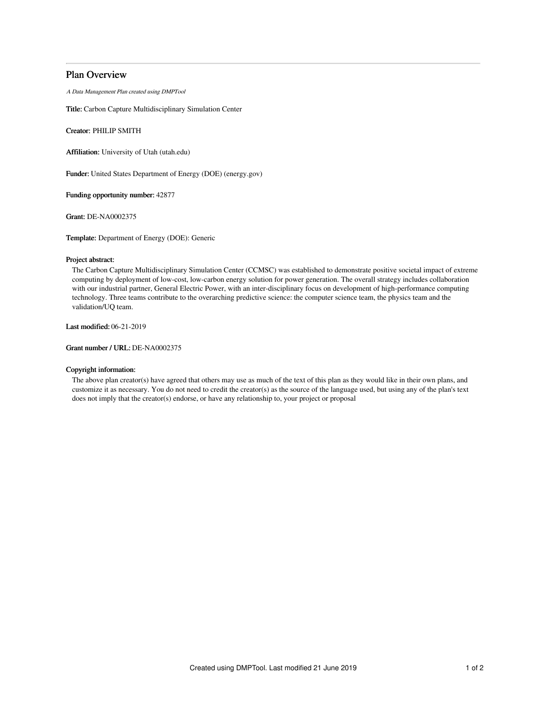# Plan Overview

A Data Management Plan created using DMPTool

Title: Carbon Capture Multidisciplinary Simulation Center

Creator: PHILIP SMITH

Affiliation: University of Utah (utah.edu)

Funder: United States Department of Energy (DOE) (energy.gov)

Funding opportunity number: 42877

Grant: DE-NA0002375

Template: Department of Energy (DOE): Generic

## Project abstract:

The Carbon Capture Multidisciplinary Simulation Center (CCMSC) was established to demonstrate positive societal impact of extreme computing by deployment of low-cost, low-carbon energy solution for power generation. The overall strategy includes collaboration with our industrial partner, General Electric Power, with an inter-disciplinary focus on development of high-performance computing technology. Three teams contribute to the overarching predictive science: the computer science team, the physics team and the validation/UQ team.

Last modified: 06-21-2019

Grant number / URL: DE-NA0002375

## Copyright information:

The above plan creator(s) have agreed that others may use as much of the text of this plan as they would like in their own plans, and customize it as necessary. You do not need to credit the creator(s) as the source of the language used, but using any of the plan's text does not imply that the creator(s) endorse, or have any relationship to, your project or proposal